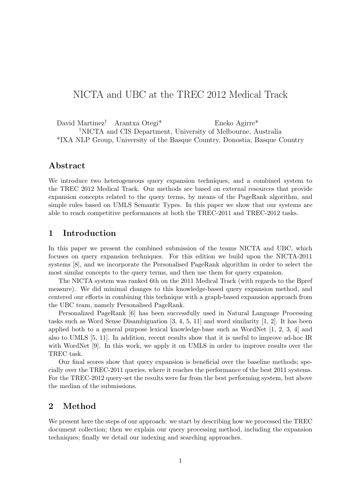# NICTA and UBC at the TREC 2012 Medical Track

David Martinez† Arantxa Otegi\* Eneko Agirre\* †NICTA and CIS Department, University of Melbourne, Australia \*IXA NLP Group, University of the Basque Country, Donostia, Basque Country

# Abstract

We introduce two heterogeneous query expansion techniques, and a combined system to the TREC 2012 Medical Track. Our methods are based on external resources that provide expansion concepts related to the query terms, by means of the PageRank algorithm, and simple rules based on UMLS Semantic Types. In this paper we show that our systems are able to reach competitive performances at both the TREC-2011 and TREC-2012 tasks.

# 1 Introduction

In this paper we present the combined submission of the teams NICTA and UBC, which focuses on query expansion techniques. For this edition we build upon the NICTA-2011 systems [8], and we incorporate the Personalised PageRank algorithm in order to select the most similar concepts to the query terms, and then use them for query expansion.

The NICTA system was ranked 6th on the 2011 Medical Track (with regards to the Bpref measure). We did minimal changes to this knowledge-based query expansion method, and centered our efforts in combining this technique with a graph-based expansion approach from the UBC team, namely Personalised PageRank.

Personalized PageRank [6] has been successfully used in Natural Language Processing tasks such as Word Sense Disambiguation  $[3, 4, 5, 11]$  and word similarity  $[1, 2]$ . It has been applied both to a general purpose lexical knowledge-base such as WordNet [1, 2, 3, 4] and also to UMLS [5, 11]. In addition, recent results show that it is useful to improve ad-hoc IR with WordNet [9]. In this work, we apply it on UMLS in order to improve results over the TREC task.

Our final scores show that query expansion is beneficial over the baseline methods; specially over the TREC-2011 queries, where it reaches the performance of the best 2011 systems. For the TREC-2012 query-set the results were far from the best performing system, but above the median of the submissions.

### 2 Method

We present here the steps of our approach: we start by describing how we processed the TREC document collection; then we explain our query processing method, including the expansion techniques; finally we detail our indexing and searching approaches.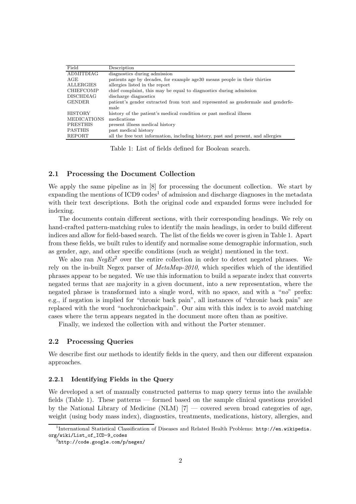| Field              | Description                                                                       |
|--------------------|-----------------------------------------------------------------------------------|
| ADMITDIAG          | diagnostics during admission                                                      |
| AGE                | patients age by decades, for example age 30 means people in their thirties        |
| <b>ALLERGIES</b>   | allergies listed in the report                                                    |
| <b>CHIEFCOMP</b>   | chief complaint, this may be equal to diagnostics during admission                |
| DISCHDIAG          | discharge diagnostics                                                             |
| <b>GENDER</b>      | patient's gender extracted from text and represented as gendermale and genderfe-  |
|                    | male                                                                              |
| HISTORY            | history of the patient's medical condition or past medical illness                |
| <b>MEDICATIONS</b> | medications                                                                       |
| PRESTHIS           | present illness medical history                                                   |
| <b>PASTHIS</b>     | past medical history                                                              |
| REPORT             | all the free text information, including history, past and present, and allergies |

Table 1: List of fields defined for Boolean search.

### 2.1 Processing the Document Collection

We apply the same pipeline as in [8] for processing the document collection. We start by expanding the mentions of  $\text{ICD9 codes}^1$  of admission and discharge diagnoses in the metadata with their text descriptions. Both the original code and expanded forms were included for indexing.

The documents contain different sections, with their corresponding headings. We rely on hand-crafted pattern-matching rules to identify the main headings, in order to build different indices and allow for field-based search. The list of the fields we cover is given in Table 1. Apart from these fields, we built rules to identify and normalise some demographic information, such as gender, age, and other specific conditions (such as weight) mentioned in the text.

We also ran  $NeqEx^2$  over the entire collection in order to detect negated phrases. We rely on the in-built Negex parser of MetaMap-2010, which specifies which of the identified phrases appear to be negated. We use this information to build a separate index that converts negated terms that are majority in a given document, into a new representation, where the negated phrase is transformed into a single word, with no space, and with a " $n\sigma$ " prefix: e.g., if negation is implied for "chronic back pain", all instances of "chronic back pain" are replaced with the word "nochronicbackpain". Our aim with this index is to avoid matching cases where the term appears negated in the document more often than as positive.

Finally, we indexed the collection with and without the Porter stemmer.

### 2.2 Processing Queries

We describe first our methods to identify fields in the query, and then our different expansion approaches.

#### 2.2.1 Identifying Fields in the Query

We developed a set of manually constructed patterns to map query terms into the available fields (Table 1). These patterns — formed based on the sample clinical questions provided by the National Library of Medicine (NLM)  $[7]$  — covered seven broad categories of age, weight (using body mass index), diagnostics, treatments, medications, history, allergies, and

<sup>&</sup>lt;sup>1</sup>International Statistical Classification of Diseases and Related Health Problems: http://en.wikipedia. org/wiki/List\_of\_ICD-9\_codes

<sup>,&</sup>lt;br><sup>2</sup>http://code.google.com/p/negex/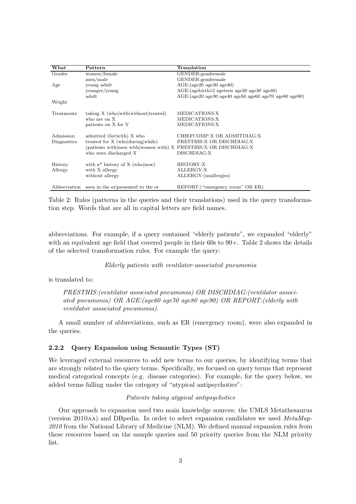| What        | Pattern                                                           | Translation                                                                        |
|-------------|-------------------------------------------------------------------|------------------------------------------------------------------------------------|
| Gender      | women/female                                                      | GENDER:gendermale                                                                  |
|             | men/male                                                          | GENDER:gendermale                                                                  |
| Age         | young adult                                                       | AGE:(age20 age30 age40)                                                            |
|             | younger/young                                                     | $AGE:(agebra12 \text{ age} \times 20 \text{ age} \times 30 \text{ age} \times 40)$ |
|             | adult                                                             | $AGE:(age20 age30 age40 age50 age60 age70 age80 age90)$                            |
| Weight      |                                                                   |                                                                                    |
| Treatments  | taking $X$ (who with without treated)                             | MEDICATIONS:X                                                                      |
|             | who are on $X$                                                    | MEDICATIONS:X                                                                      |
|             | patients on X for Y                                               | MEDICATIONS:X                                                                      |
| Admission   | admitted (for with) $X$ who                                       | CHIEFCOMP:X OR ADMITDIAG:X                                                         |
| Diagnostics | treated for X (who during while)                                  | PRESTHIS: X OR DISCHDIAG: X                                                        |
|             | (patients with men with women with) X PRESTHIS: X OR DISCHDIAG: X |                                                                                    |
|             | who were discharged X                                             | DISCHDIAG:X                                                                        |
| History     | with $a^*$ history of X (who now)                                 | HISTORY:X                                                                          |
| Allergy     | with X allergy                                                    | ALLERGY:X                                                                          |
|             | without allergy                                                   | ALLERGY: (noallergies)                                                             |
|             | Abbreviation seen in the er presented to the er                   | REPORT: ("emergency room" OR ER)                                                   |
|             |                                                                   |                                                                                    |

Table 2: Rules (patterns in the queries and their translations) used in the query transformation step. Words that are all in capital letters are field names.

abbreviations. For example, if a query contained "elderly patients", we expanded "elderly" with an equivalent age field that covered people in their 60s to 90+. Table 2 shows the details of the selected transformation rules. For example the query:

### Elderly patients with ventilator-associated pneumonia

is translated to:

PRESTHIS:(ventilator associated pneumonia) OR DISCHDIAG:(ventilator associated pneumonia) OR AGE:(age60 age70 age80 age90) OR REPORT:(elderly with ventilator associated pneumonia).

A small number of abbreviations, such as ER (emergency room), were also expanded in the queries.

#### 2.2.2 Query Expansion using Semantic Types (ST)

We leveraged external resources to add new terms to our queries, by identifying terms that are strongly related to the query terms. Specifically, we focused on query terms that represent medical categorical concepts (e.g. disease categories). For example, for the query below, we added terms falling under the category of "atypical antipsychotics":

### Patients taking atypical antipsychotics

Our approach to expansion used two main knowledge sources: the UMLS Metathesaurus (version 2010aa) and DBpedia. In order to select expansion candidates we used  $MetaMap$ 2010 from the National Library of Medicine (NLM). We defined manual expansion rules from these resources based on the sample queries and 50 priority queries from the NLM priority list.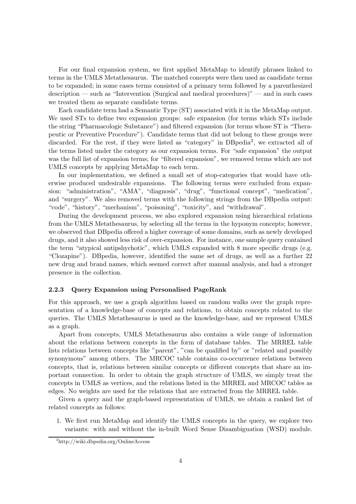For our final expansion system, we first applied MetaMap to identify phrases linked to terms in the UMLS Metathesaurus. The matched concepts were then used as candidate terms to be expanded; in some cases terms consisted of a primary term followed by a parenthesized description — such as "Intervention (Surgical and medical procedures)" — and in such cases we treated them as separate candidate terms.

Each candidate term had a Semantic Type (ST) associated with it in the MetaMap output. We used STs to define two expansion groups: safe expansion (for terms which STs include the string "Pharmacologic Substance") and filtered expansion (for terms whose ST is "Therapeutic or Preventive Procedure"). Candidate terms that did not belong to these groups were discarded. For the rest, if they were listed as "category" in DBpedia<sup>3</sup>, we extracted all of the terms listed under the category as our expansion terms. For "safe expansion" the output was the full list of expansion terms; for "filtered expansion", we removed terms which are not UMLS concepts by applying MetaMap to each term.

In our implementation, we defined a small set of stop-categories that would have otherwise produced undesirable expansions. The following terms were excluded from expansion: "administration", "AMA", "diagnosis", "drug", "functional concept", "medication", and "surgery". We also removed terms with the following strings from the DBpedia output: "code", "history", "mechanism", "poisoning", "toxicity", and "withdrawal".

During the development process, we also explored expansion using hierarchical relations from the UMLS Metathesaurus, by selecting all the terms in the hyponym concepts; however, we observed that DBpedia offered a higher coverage of some domains, such as newly developed drugs, and it also showed less risk of over-expansion. For instance, one sample query contained the term "atypical antipshychotic", which UMLS expanded with 8 more specific drugs (e.g. "Clozapine"). DBpedia, however, identified the same set of drugs, as well as a further 22 new drug and brand names, which seemed correct after manual analysis, and had a stronger presence in the collection.

#### 2.2.3 Query Expansion using Personalised PageRank

For this approach, we use a graph algorithm based on random walks over the graph representation of a knowledge-base of concepts and relations, to obtain concepts related to the queries. The UMLS Metathesaurus is used as the knowledge-base, and we represent UMLS as a graph.

Apart from concepts, UMLS Metathesaurus also contains a wide range of information about the relations between concepts in the form of database tables. The MRREL table lists relations between concepts like "parent", "can be qualified by" or "related and possibly synonymous" among others. The MRCOC table contains co-occurrence relations between concepts, that is, relations between similar concepts or different concepts that share an important connection. In order to obtain the graph structure of UMLS, we simply treat the concepts in UMLS as vertices, and the relations listed in the MRREL and MRCOC tables as edges. No weights are used for the relations that are extracted from the MRREL table.

Given a query and the graph-based representation of UMLS, we obtain a ranked list of related concepts as follows:

1. We first run MetaMap and identify the UMLS concepts in the query, we explore two variants: with and without the in-built Word Sense Disambiguation (WSD) module.

<sup>3</sup> http://wiki.dbpedia.org/OnlineAccess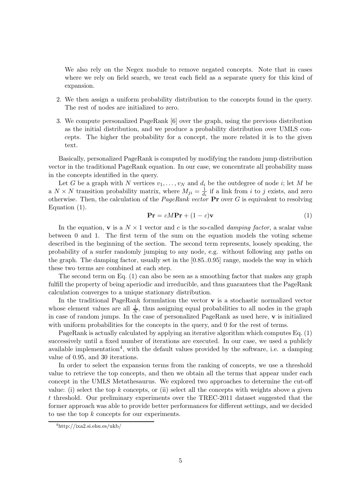We also rely on the Negex module to remove negated concepts. Note that in cases where we rely on field search, we treat each field as a separate query for this kind of expansion.

- 2. We then assign a uniform probability distribution to the concepts found in the query. The rest of nodes are initialized to zero.
- 3. We compute personalized PageRank [6] over the graph, using the previous distribution as the initial distribution, and we produce a probability distribution over UMLS concepts. The higher the probability for a concept, the more related it is to the given text.

Basically, personalized PageRank is computed by modifying the random jump distribution vector in the traditional PageRank equation. In our case, we concentrate all probability mass in the concepts identified in the query.

Let G be a graph with N vertices  $v_1, \ldots, v_N$  and  $d_i$  be the outdegree of node i; let M be a  $N \times N$  transition probability matrix, where  $M_{ji} = \frac{1}{d_i}$  if a link from i to j exists, and zero otherwise. Then, the calculation of the *PageRank vector*  $\Pr$  over G is equivalent to resolving Equation (1).

$$
\mathbf{Pr} = cM\mathbf{Pr} + (1 - c)\mathbf{v} \tag{1}
$$

In the equation, **v** is a  $N \times 1$  vector and c is the so-called *damping factor*, a scalar value between 0 and 1. The first term of the sum on the equation models the voting scheme described in the beginning of the section. The second term represents, loosely speaking, the probability of a surfer randomly jumping to any node, e.g. without following any paths on the graph. The damping factor, usually set in the [0.85..0.95] range, models the way in which these two terms are combined at each step.

The second term on Eq. (1) can also be seen as a smoothing factor that makes any graph fulfill the property of being aperiodic and irreducible, and thus guarantees that the PageRank calculation converges to a unique stationary distribution.

In the traditional PageRank formulation the vector  $\bf{v}$  is a stochastic normalized vector whose element values are all  $\frac{1}{N}$ , thus assigning equal probabilities to all nodes in the graph in case of random jumps. In the case of personalized PageRank as used here, v is initialized with uniform probabilities for the concepts in the query, and 0 for the rest of terms.

PageRank is actually calculated by applying an iterative algorithm which computes Eq. (1) successively until a fixed number of iterations are executed. In our case, we used a publicly available implementation<sup>4</sup>, with the default values provided by the software, i.e. a damping value of 0.95, and 30 iterations.

In order to select the expansion terms from the ranking of concepts, we use a threshold value to retrieve the top concepts, and then we obtain all the terms that appear under each concept in the UMLS Metathesaurus. We explored two approaches to determine the cut-off value: (i) select the top  $k$  concepts, or (ii) select all the concepts with weights above a given t threshold. Our preliminary experiments over the TREC-2011 dataset suggested that the former approach was able to provide better performances for different settings, and we decided to use the top k concepts for our experiments.

<sup>4</sup> http://ixa2.si.ehu.es/ukb/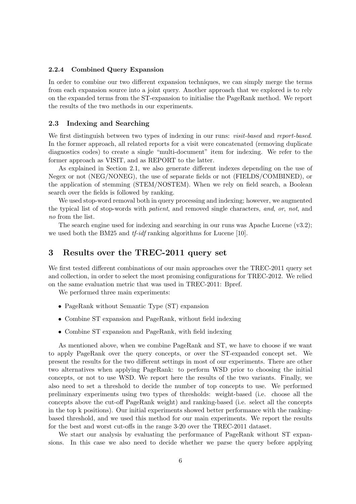#### 2.2.4 Combined Query Expansion

In order to combine our two different expansion techniques, we can simply merge the terms from each expansion source into a joint query. Another approach that we explored is to rely on the expanded terms from the ST-expansion to initialise the PageRank method. We report the results of the two methods in our experiments.

### 2.3 Indexing and Searching

We first distinguish between two types of indexing in our runs: *visit-based* and *report-based*. In the former approach, all related reports for a visit were concatenated (removing duplicate diagnostics codes) to create a single "multi-document" item for indexing. We refer to the former approach as VISIT, and as REPORT to the latter.

As explained in Section 2.1, we also generate different indexes depending on the use of Negex or not (NEG/NONEG), the use of separate fields or not (FIELDS/COMBINED), or the application of stemming (STEM/NOSTEM). When we rely on field search, a Boolean search over the fields is followed by ranking.

We used stop-word removal both in query processing and indexing; however, we augmented the typical list of stop-words with patient, and removed single characters, and, or, not, and no from the list.

The search engine used for indexing and searching in our runs was Apache Lucene (v3.2); we used both the BM25 and *tf-idf* ranking algorithms for Lucene [10].

### 3 Results over the TREC-2011 query set

We first tested different combinations of our main approaches over the TREC-2011 query set and collection, in order to select the most promising configurations for TREC-2012. We relied on the same evaluation metric that was used in TREC-2011: Bpref.

We performed three main experiments:

- PageRank without Semantic Type (ST) expansion
- Combine ST expansion and PageRank, without field indexing
- Combine ST expansion and PageRank, with field indexing

As mentioned above, when we combine PageRank and ST, we have to choose if we want to apply PageRank over the query concepts, or over the ST-expanded concept set. We present the results for the two different settings in most of our experiments. There are other two alternatives when applying PageRank: to perform WSD prior to choosing the initial concepts, or not to use WSD. We report here the results of the two variants. Finally, we also need to set a threshold to decide the number of top concepts to use. We performed preliminary experiments using two types of thresholds: weight-based (i.e. choose all the concepts above the cut-off PageRank weight) and ranking-based (i.e. select all the concepts in the top k positions). Our initial experiments showed better performance with the rankingbased threshold, and we used this method for our main experiments. We report the results for the best and worst cut-offs in the range 3-20 over the TREC-2011 dataset.

We start our analysis by evaluating the performance of PageRank without ST expansions. In this case we also need to decide whether we parse the query before applying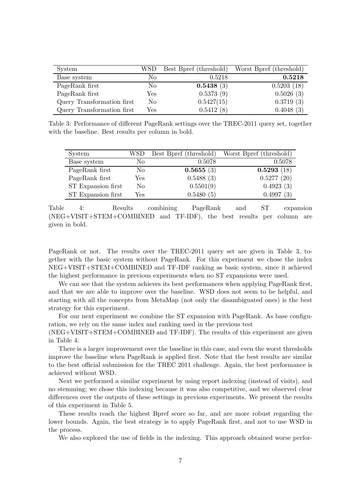| System                     | WSD            | Best Bpref (threshold) | Worst Bpref (threshold) |
|----------------------------|----------------|------------------------|-------------------------|
| Base system                | No             | 0.5218                 | 0.5218                  |
| PageRank first             | No             | 0.5438(3)              | 0.5203(18)              |
| PageRank first             | Yes            | 0.5373(9)              | 0.5026(3)               |
| Query Transformation first | N <sub>o</sub> | 0.5427(15)             | 0.3719(3)               |
| Query Transformation first | Yes            | 0.5412(8)              | 0.4048(3)               |

Table 3: Performance of different PageRank settings over the TREC-2011 query set, together with the baseline. Best results per column in bold.

| System             | WSD | Best Bpref (threshold) | Worst Bpref (threshold) |
|--------------------|-----|------------------------|-------------------------|
| Base system        | No  | 0.5078                 | 0.5078                  |
| PageRank first     | No  | 0.5655(3)              | 0.5293(18)              |
| PageRank first     | Yes | 0.5488(3)              | 0.5277(20)              |
| ST Expansion first | No  | 0.5501(9)              | 0.4923(3)               |
| ST Expansion first | Yes | 0.5480(5)              | 0.4997(3)               |

Table 4: Results combining PageRank and ST expansion (NEG+VISIT+STEM+COMBINED and TF-IDF), the best results per column are given in bold.

PageRank or not. The results over the TREC-2011 query set are given in Table 3, together with the basic system without PageRank. For this experiment we chose the index NEG+VISIT+STEM+COMBINED and TF-IDF ranking as basic system, since it achieved the highest performance in previous experiments when no ST expansions were used.

We can see that the system achieves its best performances when applying PageRank first, and that we are able to improve over the baseline. WSD does not seem to be helpful, and starting with all the concepts from MetaMap (not only the disambiguated ones) is the best strategy for this experiment.

For our next experiment we combine the ST expansion with PageRank. As base configuration, we rely on the same index and ranking used in the previous test

(NEG+VISIT+STEM+COMBINED and TF-IDF). The results of this experiment are given in Table 4.

There is a larger improvement over the baseline in this case, and even the worst thresholds improve the baseline when PageRank is applied first. Note that the best results are similar to the best official submission for the TREC 2011 challenge. Again, the best performance is achieved without WSD.

Next we performed a similar experiment by using report indexing (instead of visits), and no stemming; we chose this indexing because it was also competitive, and we observed clear differences over the outputs of these settings in previous experiments. We present the results of this experiment in Table 5.

These results reach the highest Bpref score so far, and are more robust regarding the lower bounds. Again, the best strategy is to apply PageRank first, and not to use WSD in the process.

We also explored the use of fields in the indexing. This approach obtained worse perfor-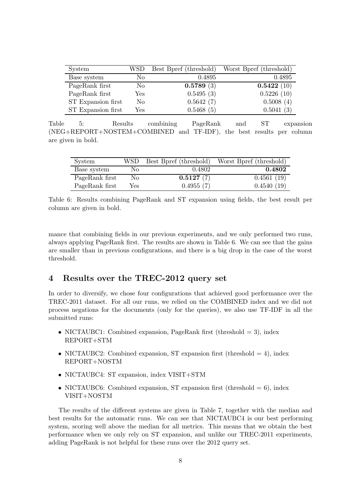| System             | WSD            | Best Bpref (threshold) | Worst Bpref (threshold) |
|--------------------|----------------|------------------------|-------------------------|
| Base system        | No             | 0.4895                 | 0.4895                  |
| PageRank first     | No             | 0.5789(3)              | 0.5422(10)              |
| PageRank first     | Yes            | 0.5495(3)              | 0.5226(10)              |
| ST Expansion first | N <sub>0</sub> | 0.5642(7)              | 0.5008(4)               |
| ST Expansion first | Yes            | 0.5468(5)              | 0.5041(3)               |

Table 5: Results combining PageRank and ST expansion (NEG+REPORT+NOSTEM+COMBINED and TF-IDF), the best results per column are given in bold.

| System         | WSD | Best Bpref (threshold) | Worst Bpref (threshold) |
|----------------|-----|------------------------|-------------------------|
| Base system    | No  | 0.4802                 | 0.4802                  |
| PageRank first | No  | 0.5127(7)              | 0.4561(19)              |
| PageRank first | Yes | 0.4955(7)              | 0.4540(19)              |

Table 6: Results combining PageRank and ST expansion using fields, the best result per column are given in bold.

mance that combining fields in our previous experiments, and we only performed two runs, always applying PageRank first. The results are shown in Table 6. We can see that the gains are smaller than in previous configurations, and there is a big drop in the case of the worst threshold.

### 4 Results over the TREC-2012 query set

In order to diversify, we chose four configurations that achieved good performance over the TREC-2011 dataset. For all our runs, we relied on the COMBINED index and we did not process negations for the documents (only for the queries), we also use TF-IDF in all the submitted runs:

- NICTAUBC1: Combined expansion, PageRank first (threshold  $=$  3), index REPORT+STM
- NICTAUBC2: Combined expansion, ST expansion first (threshold  $= 4$ ), index REPORT+NOSTM
- NICTAUBC4: ST expansion, index VISIT+STM
- NICTAUBC6: Combined expansion, ST expansion first (threshold  $= 6$ ), index VISIT+NOSTM

The results of the different systems are given in Table 7, together with the median and best results for the automatic runs. We can see that NICTAUBC4 is our best performing system, scoring well above the median for all metrics. This means that we obtain the best performance when we only rely on ST expansion, and unlike our TREC-2011 experiments, adding PageRank is not helpful for these runs over the 2012 query set.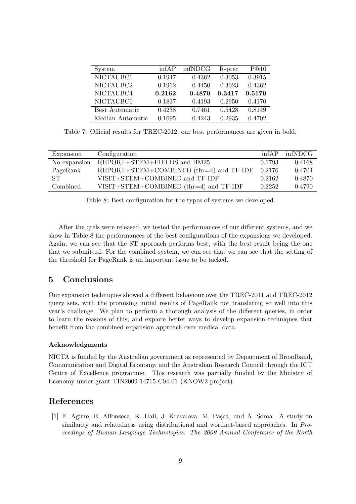| System           | infAP  | infNDCG | R-prec | P@10   |
|------------------|--------|---------|--------|--------|
| NICTAUBC1        | 0.1947 | 0.4362  | 0.3053 | 0.3915 |
| NICTAUBC2        | 0.1912 | 0.4450  | 0.3023 | 0.4362 |
| NICTAUBC4        | 0.2162 | 0.4870  | 0.3417 | 0.5170 |
| NICTAUBC6        | 0.1837 | 0.4193  | 0.2950 | 0.4170 |
| Best Automatic   | 0.4238 | 0.7461  | 0.5428 | 0.8149 |
| Median Automatic | 0.1695 | 0.4243  | 0.2935 | 0.4702 |

Table 7: Official results for TREC-2012, our best performances are given in bold.

| Expansion    | Configuration                                   | infAP  | infNDCG |
|--------------|-------------------------------------------------|--------|---------|
| No expansion | REPORT+STEM+FIELDS and BM25                     | 0.1793 | 0.4168  |
| PageRank     | $REPORT + STEM + COMBINED (thr=4)$ and $TF-IDF$ | 0.2176 | 0.4704  |
| ST.          | VISIT+STEM+COMBINED and TF-IDF                  | 0.2162 | 0.4870  |
| Combined     | $VISIT + STEM + COMBINED$ (thr=4) and $TF-IDF$  | 0.2252 | 0.4790  |

Table 8: Best configuration for the types of systems we developed.

After the qrels were released, we tested the performances of our different systems, and we show in Table 8 the performances of the best configurations of the expansions we developed. Again, we can see that the ST approach performs best, with the best result being the one that we submitted. For the combined system, we can see that we can see that the setting of the threshold for PageRank is an important issue to be tacked.

# 5 Conclusions

Our expansion techniques showed a different behaviour over the TREC-2011 and TREC-2012 query sets, with the promising initial results of PageRank not translating so well into this year's challenge. We plan to perform a thorough analysis of the different queries, in order to learn the reasons of this, and explore better ways to develop expansion techniques that benefit from the combined expansion approach over medical data.

### Acknowledgments

NICTA is funded by the Australian government as represented by Department of Broadband, Communication and Digital Economy, and the Australian Research Council through the ICT Centre of Excellence programme. This research was partially funded by the Ministry of Economy under grant TIN2009-14715-C04-01 (KNOW2 project).

### References

[1] E. Agirre, E. Alfonseca, K. Hall, J. Kravalova, M. Paşca, and A. Soroa. A study on similarity and relatedness using distributional and wordnet-based approaches. In Proceedings of Human Language Technologies: The 2009 Annual Conference of the North